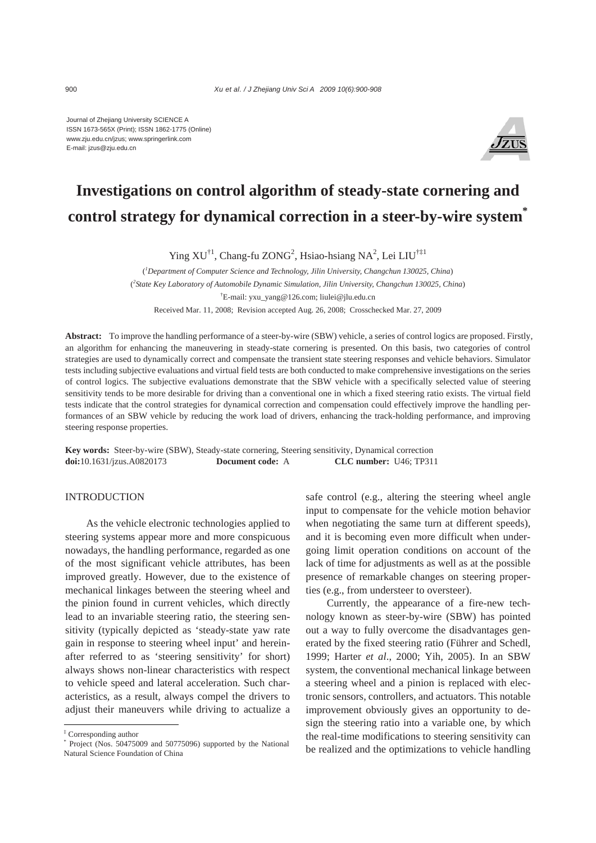Journal of Zhejiang University SCIENCE A ISSN 1673-565X (Print); ISSN 1862-1775 (Online) www.zju.edu.cn/jzus; www.springerlink.com E-mail: jzus@zju.edu.cn



# **Investigations on control algorithm of steady-state cornering and control strategy for dynamical correction in a steer-by-wire system\***

Ying  $XU^{\dagger 1}$ , Chang-fu ZONG<sup>2</sup>, Hsiao-hsiang NA<sup>2</sup>, Lei LIU<sup>†‡1</sup>

( *1 Department of Computer Science and Technology, Jilin University, Changchun 130025, China*) ( *2 State Key Laboratory of Automobile Dynamic Simulation, Jilin University, Changchun 130025, China*) † E-mail: yxu\_yang@126.com; liulei@jlu.edu.cn Received Mar. 11, 2008; Revision accepted Aug. 26, 2008; Crosschecked Mar. 27, 2009

**Abstract:** To improve the handling performance of a steer-by-wire (SBW) vehicle, a series of control logics are proposed. Firstly, an algorithm for enhancing the maneuvering in steady-state cornering is presented. On this basis, two categories of control strategies are used to dynamically correct and compensate the transient state steering responses and vehicle behaviors. Simulator tests including subjective evaluations and virtual field tests are both conducted to make comprehensive investigations on the series of control logics. The subjective evaluations demonstrate that the SBW vehicle with a specifically selected value of steering sensitivity tends to be more desirable for driving than a conventional one in which a fixed steering ratio exists. The virtual field tests indicate that the control strategies for dynamical correction and compensation could effectively improve the handling performances of an SBW vehicle by reducing the work load of drivers, enhancing the track-holding performance, and improving steering response properties.

**Key words:** Steer-by-wire (SBW), Steady-state cornering, Steering sensitivity, Dynamical correction **doi:**10.1631/jzus.A0820173 **Document code:** A **CLC number:** U46; TP311

## INTRODUCTION

As the vehicle electronic technologies applied to steering systems appear more and more conspicuous nowadays, the handling performance, regarded as one of the most significant vehicle attributes, has been improved greatly. However, due to the existence of mechanical linkages between the steering wheel and the pinion found in current vehicles, which directly lead to an invariable steering ratio, the steering sensitivity (typically depicted as 'steady-state yaw rate gain in response to steering wheel input' and hereinafter referred to as 'steering sensitivity' for short) always shows non-linear characteristics with respect to vehicle speed and lateral acceleration. Such characteristics, as a result, always compel the drivers to adjust their maneuvers while driving to actualize a safe control (e.g., altering the steering wheel angle input to compensate for the vehicle motion behavior when negotiating the same turn at different speeds), and it is becoming even more difficult when undergoing limit operation conditions on account of the lack of time for adjustments as well as at the possible presence of remarkable changes on steering properties (e.g., from understeer to oversteer).

Currently, the appearance of a fire-new technology known as steer-by-wire (SBW) has pointed out a way to fully overcome the disadvantages generated by the fixed steering ratio (Führer and Schedl, 1999; Harter *et al*., 2000; Yih, 2005). In an SBW system, the conventional mechanical linkage between a steering wheel and a pinion is replaced with electronic sensors, controllers, and actuators. This notable improvement obviously gives an opportunity to design the steering ratio into a variable one, by which the real-time modifications to steering sensitivity can be realized and the optimizations to vehicle handling

<sup>‡</sup> Corresponding author

<sup>\*</sup> Project (Nos. 50475009 and 50775096) supported by the National Natural Science Foundation of China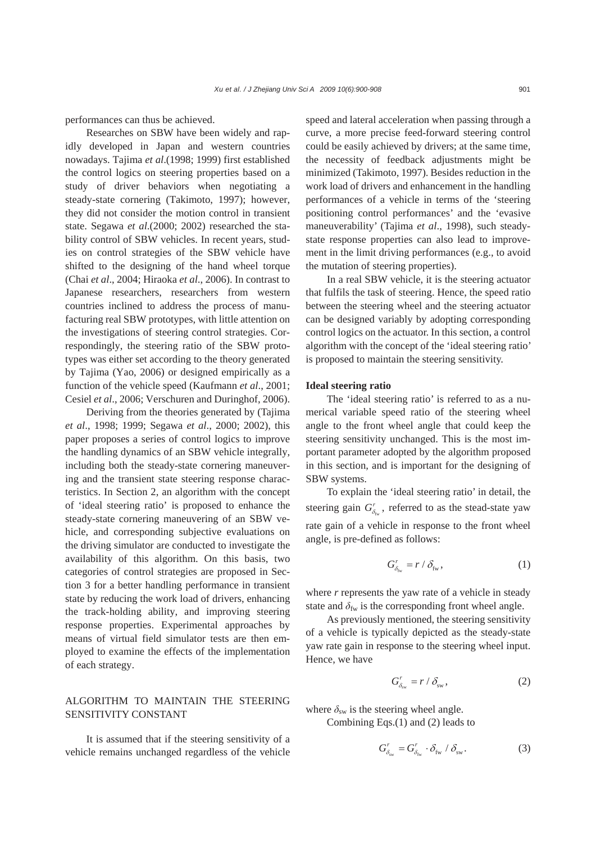performances can thus be achieved.

Researches on SBW have been widely and rapidly developed in Japan and western countries nowadays. Tajima *et al*.(1998; 1999) first established the control logics on steering properties based on a study of driver behaviors when negotiating a steady-state cornering (Takimoto, 1997); however, they did not consider the motion control in transient state. Segawa *et al*.(2000; 2002) researched the stability control of SBW vehicles. In recent years, studies on control strategies of the SBW vehicle have shifted to the designing of the hand wheel torque (Chai *et al*., 2004; Hiraoka *et al*., 2006). In contrast to Japanese researchers, researchers from western countries inclined to address the process of manufacturing real SBW prototypes, with little attention on the investigations of steering control strategies. Correspondingly, the steering ratio of the SBW prototypes was either set according to the theory generated by Tajima (Yao, 2006) or designed empirically as a function of the vehicle speed (Kaufmann *et al*., 2001; Cesiel *et al*., 2006; Verschuren and Duringhof, 2006).

Deriving from the theories generated by (Tajima *et al*., 1998; 1999; Segawa *et al*., 2000; 2002), this paper proposes a series of control logics to improve the handling dynamics of an SBW vehicle integrally, including both the steady-state cornering maneuvering and the transient state steering response characteristics. In Section 2, an algorithm with the concept of 'ideal steering ratio' is proposed to enhance the steady-state cornering maneuvering of an SBW vehicle, and corresponding subjective evaluations on the driving simulator are conducted to investigate the availability of this algorithm. On this basis, two categories of control strategies are proposed in Section 3 for a better handling performance in transient state by reducing the work load of drivers, enhancing the track-holding ability, and improving steering response properties. Experimental approaches by means of virtual field simulator tests are then employed to examine the effects of the implementation of each strategy.

## ALGORITHM TO MAINTAIN THE STEERING SENSITIVITY CONSTANT

It is assumed that if the steering sensitivity of a vehicle remains unchanged regardless of the vehicle

speed and lateral acceleration when passing through a curve, a more precise feed-forward steering control could be easily achieved by drivers; at the same time, the necessity of feedback adjustments might be minimized (Takimoto, 1997). Besides reduction in the work load of drivers and enhancement in the handling performances of a vehicle in terms of the 'steering positioning control performances' and the 'evasive maneuverability' (Tajima *et al*., 1998), such steadystate response properties can also lead to improvement in the limit driving performances (e.g., to avoid the mutation of steering properties).

In a real SBW vehicle, it is the steering actuator that fulfils the task of steering. Hence, the speed ratio between the steering wheel and the steering actuator can be designed variably by adopting corresponding control logics on the actuator. In this section, a control algorithm with the concept of the 'ideal steering ratio' is proposed to maintain the steering sensitivity.

#### **Ideal steering ratio**

The 'ideal steering ratio' is referred to as a numerical variable speed ratio of the steering wheel angle to the front wheel angle that could keep the steering sensitivity unchanged. This is the most important parameter adopted by the algorithm proposed in this section, and is important for the designing of SBW systems.

To explain the 'ideal steering ratio' in detail, the steering gain  $G_{\delta_m}^r$ , referred to as the stead-state yaw rate gain of a vehicle in response to the front wheel angle, is pre-defined as follows:

$$
G_{\delta_{\rm fw}}^r = r / \delta_{\rm fw}, \qquad (1)
$$

where *r* represents the yaw rate of a vehicle in steady state and  $\delta_{\text{fw}}$  is the corresponding front wheel angle.

As previously mentioned, the steering sensitivity of a vehicle is typically depicted as the steady-state yaw rate gain in response to the steering wheel input. Hence, we have

$$
G_{\delta_{\rm sw}}^r = r / \delta_{\rm sw}, \qquad (2)
$$

where  $\delta_{sw}$  is the steering wheel angle.

Combining Eqs.(1) and (2) leads to

$$
G_{\delta_{\rm sw}}^r = G_{\delta_{\rm fw}}^r \cdot \delta_{\rm fw} / \delta_{\rm sw}.
$$
 (3)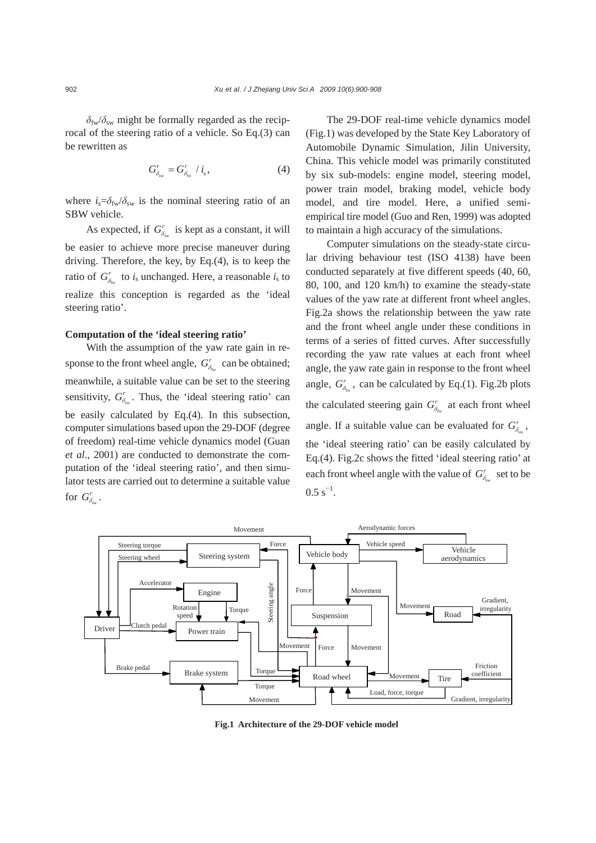$\delta_{\rm fw}/\delta_{\rm sw}$  might be formally regarded as the reciprocal of the steering ratio of a vehicle. So Eq.(3) can be rewritten as

$$
G_{\delta_{\rm sw}}^r = G_{\delta_{\rm fw}}^r / i_{\rm s},\tag{4}
$$

where  $i_s = \delta_{fw}/\delta_{sw}$  is the nominal steering ratio of an SBW vehicle.

As expected, if  $G_{\delta_{sw}}^r$  is kept as a constant, it will be easier to achieve more precise maneuver during driving. Therefore, the key, by Eq.(4), is to keep the ratio of  $G_{\delta_{fw}}^r$  to *i*<sub>s</sub> unchanged. Here, a reasonable *i*<sub>s</sub> to realize this conception is regarded as the 'ideal steering ratio'.

### **Computation of the 'ideal steering ratio'**

With the assumption of the yaw rate gain in response to the front wheel angle,  $G_{\delta_{\text{fw}}}^r$  can be obtained; meanwhile, a suitable value can be set to the steering sensitivity,  $G_{\delta}^r$ . Thus, the 'ideal steering ratio' can be easily calculated by Eq.(4). In this subsection, computer simulations based upon the 29-DOF (degree of freedom) real-time vehicle dynamics model (Guan *et al*., 2001) are conducted to demonstrate the computation of the 'ideal steering ratio', and then simulator tests are carried out to determine a suitable value for  $G_{\delta_m}^r$ .

The 29-DOF real-time vehicle dynamics model (Fig.1) was developed by the State Key Laboratory of Automobile Dynamic Simulation, Jilin University, China. This vehicle model was primarily constituted by six sub-models: engine model, steering model, power train model, braking model, vehicle body model, and tire model. Here, a unified semiempirical tire model (Guo and Ren, 1999) was adopted to maintain a high accuracy of the simulations.

Computer simulations on the steady-state circular driving behaviour test (ISO 4138) have been conducted separately at five different speeds (40, 60, 80, 100, and 120 km/h) to examine the steady-state values of the yaw rate at different front wheel angles. Fig.2a shows the relationship between the yaw rate and the front wheel angle under these conditions in terms of a series of fitted curves. After successfully recording the yaw rate values at each front wheel angle, the yaw rate gain in response to the front wheel angle,  $G_{\delta_{m}}^{r}$ , can be calculated by Eq.(1). Fig.2b plots the calculated steering gain  $G_{\delta_{\text{fw}}}^r$  at each front wheel angle. If a suitable value can be evaluated for  $G^r_{\delta_m}$ , the 'ideal steering ratio' can be easily calculated by Eq.(4). Fig.2c shows the fitted 'ideal steering ratio' at each front wheel angle with the value of  $G_{\delta_{sw}}^r$  set to be  $0.5 s^{-1}$ .



**Fig.1 Architecture of the 29-DOF vehicle model**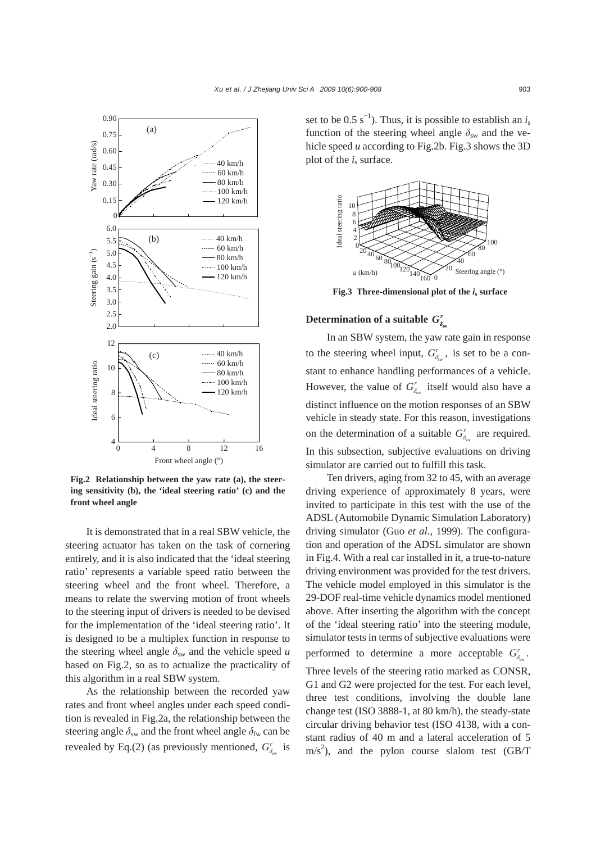

**Fig.2 Relationship between the yaw rate (a), the steering sensitivity (b), the 'ideal steering ratio' (c) and the front wheel angle**

It is demonstrated that in a real SBW vehicle, the steering actuator has taken on the task of cornering entirely, and it is also indicated that the 'ideal steering ratio' represents a variable speed ratio between the steering wheel and the front wheel. Therefore, a means to relate the swerving motion of front wheels to the steering input of drivers is needed to be devised for the implementation of the 'ideal steering ratio'. It is designed to be a multiplex function in response to the steering wheel angle  $\delta_{sw}$  and the vehicle speed *u* based on Fig.2, so as to actualize the practicality of this algorithm in a real SBW system.

As the relationship between the recorded yaw rates and front wheel angles under each speed condition is revealed in Fig.2a, the relationship between the steering angle  $\delta_{sw}$  and the front wheel angle  $\delta_{fw}$  can be revealed by Eq.(2) (as previously mentioned,  $G_{\delta_{sw}}^r$  is

set to be  $0.5 \text{ s}^{-1}$ ). Thus, it is possible to establish an *i*<sub>s</sub> function of the steering wheel angle  $\delta_{sw}$  and the vehicle speed *u* according to Fig.2b. Fig.3 shows the 3D plot of the  $i<sub>s</sub>$  surface.



**Fig.3** Three-dimensional plot of the  $i_s$  surface

## **Determination of a suitable**  $G_{\delta_{\infty}}^r$

In an SBW system, the yaw rate gain in response to the steering wheel input,  $G^r_{\delta}$ , is set to be a constant to enhance handling performances of a vehicle. However, the value of  $G_{\delta_{sw}}^r$  itself would also have a distinct influence on the motion responses of an SBW vehicle in steady state. For this reason, investigations on the determination of a suitable  $G_{\delta_{sw}}^r$  are required. In this subsection, subjective evaluations on driving simulator are carried out to fulfill this task.

Ten drivers, aging from 32 to 45, with an average driving experience of approximately 8 years, were invited to participate in this test with the use of the ADSL (Automobile Dynamic Simulation Laboratory) driving simulator (Guo *et al*., 1999). The configuration and operation of the ADSL simulator are shown in Fig.4. With a real car installed in it, a true-to-nature driving environment was provided for the test drivers. The vehicle model employed in this simulator is the 29-DOF real-time vehicle dynamics model mentioned above. After inserting the algorithm with the concept of the 'ideal steering ratio' into the steering module, simulator tests in terms of subjective evaluations were performed to determine a more acceptable  $G^r_\delta$ .

Three levels of the steering ratio marked as CONSR, G1 and G2 were projected for the test. For each level, three test conditions, involving the double lane change test (ISO 3888-1, at 80 km/h), the steady-state circular driving behavior test (ISO 4138, with a constant radius of 40 m and a lateral acceleration of 5  $\text{m/s}^2$ ), and the pylon course slalom test (GB/T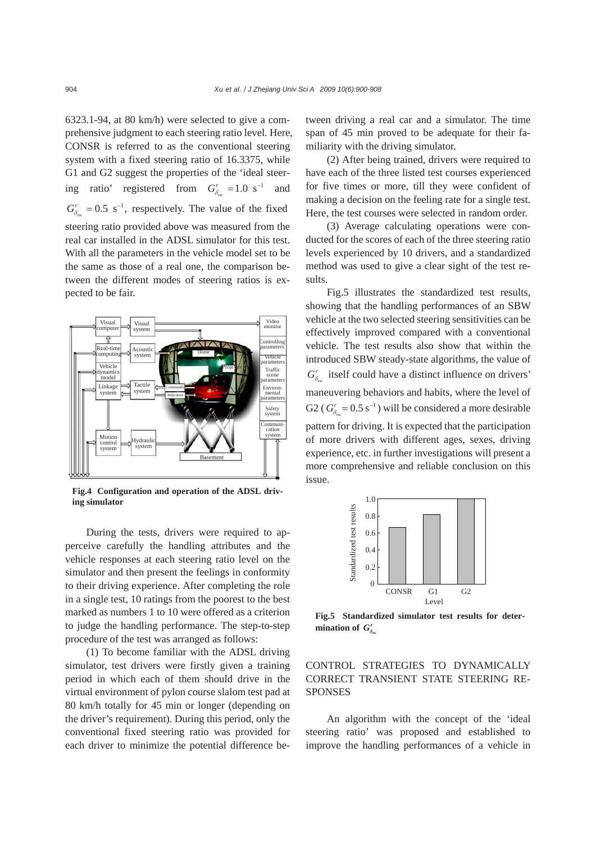6323.1-94, at 80 km/h) were selected to give a comprehensive judgment to each steering ratio level. Here, CONSR is referred to as the conventional steering system with a fixed steering ratio of 16.3375, while G1 and G2 suggest the properties of the 'ideal steering ratio' registered from  $G_{\delta_{sw}}^r = 1.0 \text{ s}^{-1}$  and  $G_{\delta_{\rm sw}}^r = 0.5 \text{ s}^{-1}$ , respectively. The value of the fixed steering ratio provided above was measured from the real car installed in the ADSL simulator for this test. With all the parameters in the vehicle model set to be the same as those of a real one, the comparison between the different modes of steering ratios is expected to be fair.



**Fig.4 Configuration and operation of the ADSL driving simulator**

During the tests, drivers were required to apperceive carefully the handling attributes and the vehicle responses at each steering ratio level on the simulator and then present the feelings in conformity to their driving experience. After completing the role in a single test, 10 ratings from the poorest to the best marked as numbers 1 to 10 were offered as a criterion to judge the handling performance. The step-to-step procedure of the test was arranged as follows:

(1) To become familiar with the ADSL driving simulator, test drivers were firstly given a training period in which each of them should drive in the virtual environment of pylon course slalom test pad at 80 km/h totally for 45 min or longer (depending on the driver's requirement). During this period, only the conventional fixed steering ratio was provided for each driver to minimize the potential difference between driving a real car and a simulator. The time span of 45 min proved to be adequate for their familiarity with the driving simulator.

(2) After being trained, drivers were required to have each of the three listed test courses experienced for five times or more, till they were confident of making a decision on the feeling rate for a single test. Here, the test courses were selected in random order.

(3) Average calculating operations were conducted for the scores of each of the three steering ratio levels experienced by 10 drivers, and a standardized method was used to give a clear sight of the test results.

Fig.5 illustrates the standardized test results, showing that the handling performances of an SBW vehicle at the two selected steering sensitivities can be effectively improved compared with a conventional vehicle. The test results also show that within the introduced SBW steady-state algorithms, the value of  $G_{\delta_{sw}}^r$  itself could have a distinct influence on drivers' maneuvering behaviors and habits, where the level of G2 ( $G_{\delta_{\rm sw}}^r$  = 0.5 s<sup>-1</sup>) will be considered a more desirable pattern for driving. It is expected that the participation of more drivers with different ages, sexes, driving experience, etc. in further investigations will present a more comprehensive and reliable conclusion on this issue.



**Fig.5 Standardized simulator test results for determination of**  $G^r_\delta$ 

## CONTROL STRATEGIES TO DYNAMICALLY CORRECT TRANSIENT STATE STEERING RE-**SPONSES**

An algorithm with the concept of the 'ideal steering ratio' was proposed and established to improve the handling performances of a vehicle in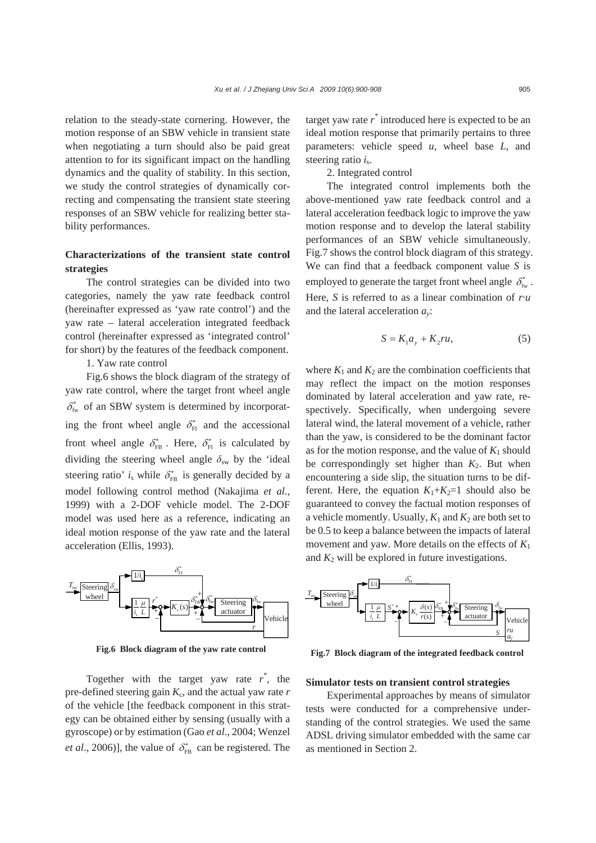relation to the steady-state cornering. However, the motion response of an SBW vehicle in transient state when negotiating a turn should also be paid great attention to for its significant impact on the handling dynamics and the quality of stability. In this section, we study the control strategies of dynamically correcting and compensating the transient state steering responses of an SBW vehicle for realizing better stability performances.

## **Characterizations of the transient state control strategies**

The control strategies can be divided into two categories, namely the yaw rate feedback control (hereinafter expressed as 'yaw rate control') and the yaw rate – lateral acceleration integrated feedback control (hereinafter expressed as 'integrated control' for short) by the features of the feedback component.

1. Yaw rate control

Fig.6 shows the block diagram of the strategy of yaw rate control, where the target front wheel angle  $\delta_{f_w}^*$  of an SBW system is determined by incorporating the front wheel angle  $\delta_{FI}^*$  and the accessional front wheel angle  $\delta_{FB}^*$ . Here,  $\delta_{FI}^*$  is calculated by dividing the steering wheel angle  $\delta_{sw}$  by the 'ideal steering ratio'  $i_s$  while  $\delta_{FB}^*$  is generally decided by a model following control method (Nakajima *et al*., 1999) with a 2-DOF vehicle model. The 2-DOF model was used here as a reference, indicating an ideal motion response of the yaw rate and the lateral acceleration (Ellis, 1993).



**Fig.6 Block diagram of the yaw rate control**

Together with the target yaw rate  $r^*$ , the pre-defined steering gain *K*c, and the actual yaw rate *r* of the vehicle [the feedback component in this strategy can be obtained either by sensing (usually with a gyroscope) or by estimation (Gao *et al*., 2004; Wenzel *et al.*, 2006)], the value of  $\delta_{FB}^*$  can be registered. The

target yaw rate *r \** introduced here is expected to be an ideal motion response that primarily pertains to three parameters: vehicle speed *u*, wheel base *L*, and steering ratio *i*<sub>s</sub>.

2. Integrated control

The integrated control implements both the above-mentioned yaw rate feedback control and a lateral acceleration feedback logic to improve the yaw motion response and to develop the lateral stability performances of an SBW vehicle simultaneously. Fig.7 shows the control block diagram of this strategy. We can find that a feedback component value *S* is employed to generate the target front wheel angle  $\delta_{\text{fw}}^*$ . Here, *S* is referred to as a linear combination of *r*·*u*  and the lateral acceleration *ay*:

$$
S = K_1 a_y + K_2 r u,\tag{5}
$$

where  $K_1$  and  $K_2$  are the combination coefficients that may reflect the impact on the motion responses dominated by lateral acceleration and yaw rate, respectively. Specifically, when undergoing severe lateral wind, the lateral movement of a vehicle, rather than the yaw, is considered to be the dominant factor as for the motion response, and the value of  $K_1$  should be correspondingly set higher than  $K_2$ . But when encountering a side slip, the situation turns to be different. Here, the equation  $K_1 + K_2 = 1$  should also be guaranteed to convey the factual motion responses of a vehicle momently. Usually,  $K_1$  and  $K_2$  are both set to be 0.5 to keep a balance between the impacts of lateral movement and yaw. More details on the effects of *K*<sup>1</sup> and  $K_2$  will be explored in future investigations.



**Fig.7 Block diagram of the integrated feedback control**

#### **Simulator tests on transient control strategies**

Experimental approaches by means of simulator tests were conducted for a comprehensive understanding of the control strategies. We used the same ADSL driving simulator embedded with the same car as mentioned in Section 2.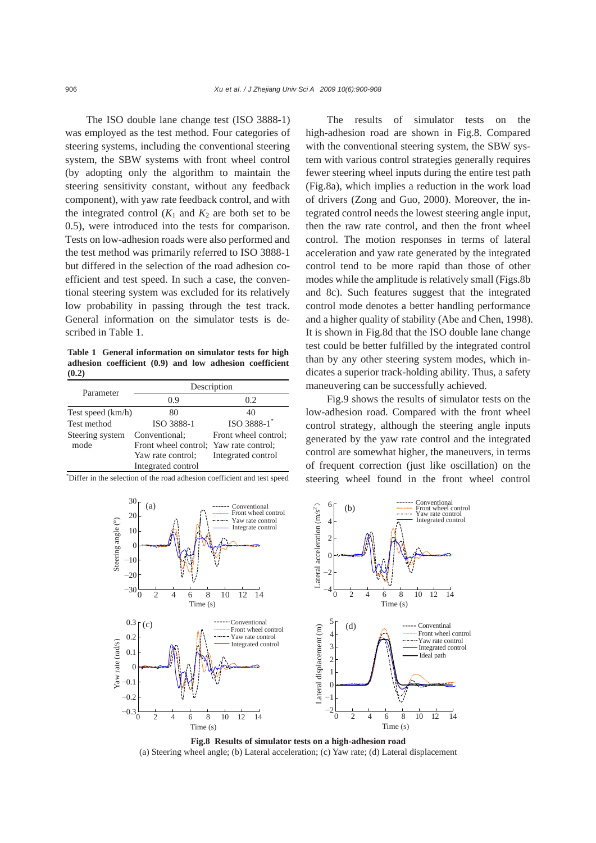The ISO double lane change test (ISO 3888-1) was employed as the test method. Four categories of steering systems, including the conventional steering system, the SBW systems with front wheel control (by adopting only the algorithm to maintain the steering sensitivity constant, without any feedback component), with yaw rate feedback control, and with the integrated control  $(K_1$  and  $K_2$  are both set to be 0.5), were introduced into the tests for comparison. Tests on low-adhesion roads were also performed and the test method was primarily referred to ISO 3888-1 but differed in the selection of the road adhesion coefficient and test speed. In such a case, the conventional steering system was excluded for its relatively low probability in passing through the test track. General information on the simulator tests is described in Table 1.

**Table 1 General information on simulator tests for high adhesion coefficient (0.9) and low adhesion coefficient (0.2)** 

| Parameter         | Description                            |                         |
|-------------------|----------------------------------------|-------------------------|
|                   | 0.9                                    | 0.2                     |
| Test speed (km/h) | 80                                     | 40                      |
| Test method       | ISO 3888-1                             | ISO 3888-1 <sup>*</sup> |
| Steering system   | Conventional:                          | Front wheel control;    |
| mode              | Front wheel control: Yaw rate control: |                         |
|                   | Yaw rate control;                      | Integrated control      |
|                   | Integrated control                     |                         |

\* Differ in the selection of the road adhesion coefficient and test speed

The results of simulator tests on the high-adhesion road are shown in Fig.8. Compared with the conventional steering system, the SBW system with various control strategies generally requires fewer steering wheel inputs during the entire test path (Fig.8a), which implies a reduction in the work load of drivers (Zong and Guo, 2000). Moreover, the integrated control needs the lowest steering angle input, then the raw rate control, and then the front wheel control. The motion responses in terms of lateral acceleration and yaw rate generated by the integrated control tend to be more rapid than those of other modes while the amplitude is relatively small (Figs.8b and 8c). Such features suggest that the integrated control mode denotes a better handling performance and a higher quality of stability (Abe and Chen, 1998). It is shown in Fig.8d that the ISO double lane change test could be better fulfilled by the integrated control than by any other steering system modes, which indicates a superior track-holding ability. Thus, a safety maneuvering can be successfully achieved.

Fig.9 shows the results of simulator tests on the low-adhesion road. Compared with the front wheel control strategy, although the steering angle inputs generated by the yaw rate control and the integrated control are somewhat higher, the maneuvers, in terms of frequent correction (just like oscillation) on the steering wheel found in the front wheel control



**Fig.8 Results of simulator tests on a high-adhesion road**  (a) Steering wheel angle; (b) Lateral acceleration; (c) Yaw rate; (d) Lateral displacement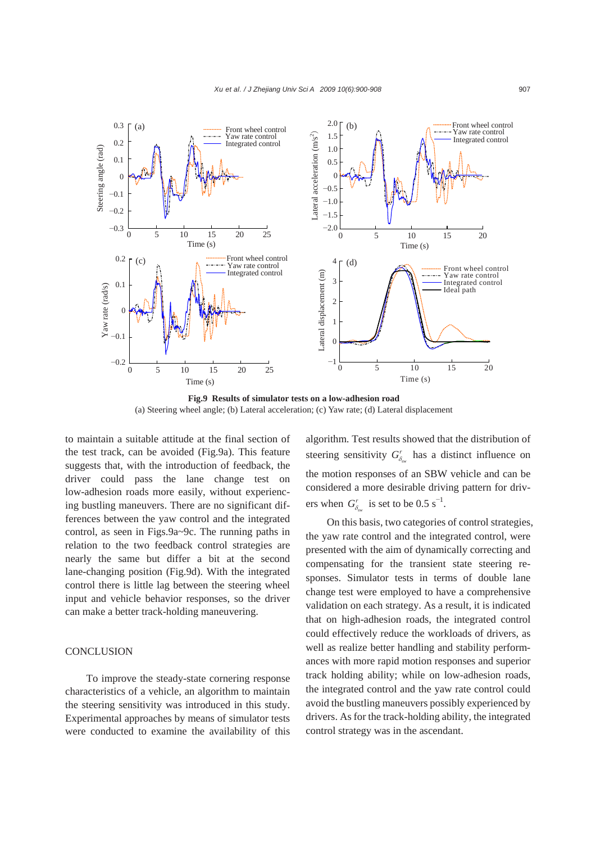

**Fig.9 Results of simulator tests on a low-adhesion road**  (a) Steering wheel angle; (b) Lateral acceleration; (c) Yaw rate; (d) Lateral displacement

to maintain a suitable attitude at the final section of the test track, can be avoided (Fig.9a). This feature suggests that, with the introduction of feedback, the driver could pass the lane change test on low-adhesion roads more easily, without experiencing bustling maneuvers. There are no significant differences between the yaw control and the integrated control, as seen in Figs.9a~9c. The running paths in relation to the two feedback control strategies are nearly the same but differ a bit at the second lane-changing position (Fig.9d). With the integrated control there is little lag between the steering wheel input and vehicle behavior responses, so the driver can make a better track-holding maneuvering.

#### **CONCLUSION**

To improve the steady-state cornering response characteristics of a vehicle, an algorithm to maintain the steering sensitivity was introduced in this study. Experimental approaches by means of simulator tests were conducted to examine the availability of this algorithm. Test results showed that the distribution of steering sensitivity  $G_{\delta_{sw}}^r$  has a distinct influence on the motion responses of an SBW vehicle and can be considered a more desirable driving pattern for drivers when  $G_{\delta_{sw}}^r$  is set to be 0.5 s<sup>-1</sup>.

On this basis, two categories of control strategies, the yaw rate control and the integrated control, were presented with the aim of dynamically correcting and compensating for the transient state steering responses. Simulator tests in terms of double lane change test were employed to have a comprehensive validation on each strategy. As a result, it is indicated that on high-adhesion roads, the integrated control could effectively reduce the workloads of drivers, as well as realize better handling and stability performances with more rapid motion responses and superior track holding ability; while on low-adhesion roads, the integrated control and the yaw rate control could avoid the bustling maneuvers possibly experienced by drivers. As for the track-holding ability, the integrated control strategy was in the ascendant.